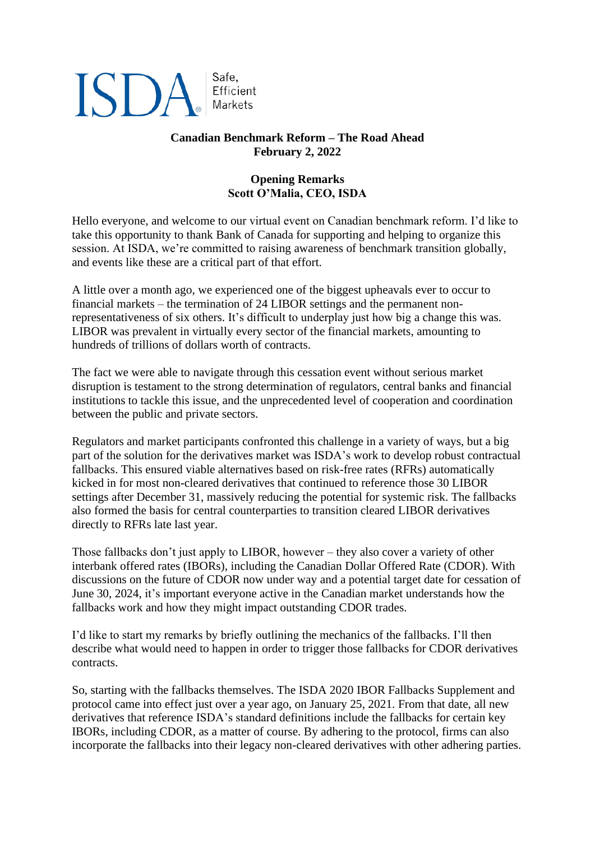## Safe, ISD/ Efficient Markets

## **Canadian Benchmark Reform – The Road Ahead February 2, 2022**

## **Opening Remarks Scott O'Malia, CEO, ISDA**

Hello everyone, and welcome to our virtual event on Canadian benchmark reform. I'd like to take this opportunity to thank Bank of Canada for supporting and helping to organize this session. At ISDA, we're committed to raising awareness of benchmark transition globally, and events like these are a critical part of that effort.

A little over a month ago, we experienced one of the biggest upheavals ever to occur to financial markets – the termination of 24 LIBOR settings and the permanent nonrepresentativeness of six others. It's difficult to underplay just how big a change this was. LIBOR was prevalent in virtually every sector of the financial markets, amounting to hundreds of trillions of dollars worth of contracts.

The fact we were able to navigate through this cessation event without serious market disruption is testament to the strong determination of regulators, central banks and financial institutions to tackle this issue, and the unprecedented level of cooperation and coordination between the public and private sectors.

Regulators and market participants confronted this challenge in a variety of ways, but a big part of the solution for the derivatives market was ISDA's work to develop robust contractual fallbacks. This ensured viable alternatives based on risk-free rates (RFRs) automatically kicked in for most non-cleared derivatives that continued to reference those 30 LIBOR settings after December 31, massively reducing the potential for systemic risk. The fallbacks also formed the basis for central counterparties to transition cleared LIBOR derivatives directly to RFRs late last year.

Those fallbacks don't just apply to LIBOR, however – they also cover a variety of other interbank offered rates (IBORs), including the Canadian Dollar Offered Rate (CDOR). With discussions on the future of CDOR now under way and a potential target date for cessation of June 30, 2024, it's important everyone active in the Canadian market understands how the fallbacks work and how they might impact outstanding CDOR trades.

I'd like to start my remarks by briefly outlining the mechanics of the fallbacks. I'll then describe what would need to happen in order to trigger those fallbacks for CDOR derivatives contracts.

So, starting with the fallbacks themselves. The ISDA 2020 IBOR Fallbacks Supplement and protocol came into effect just over a year ago, on January 25, 2021. From that date, all new derivatives that reference ISDA's standard definitions include the fallbacks for certain key IBORs, including CDOR, as a matter of course. By adhering to the protocol, firms can also incorporate the fallbacks into their legacy non-cleared derivatives with other adhering parties.